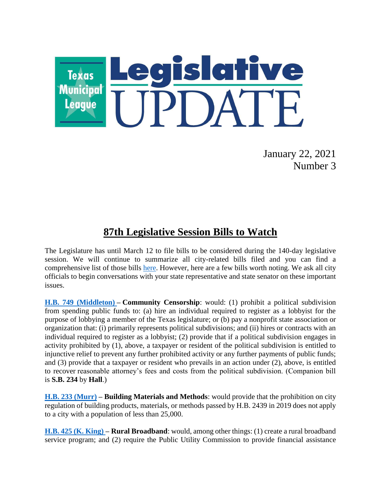

January 22, 2021 Number 3

## **87th Legislative Session Bills to Watch**

The Legislature has until March 12 to file bills to be considered during the 140-day legislative session. We will continue to summarize all city-related bills filed and you can find a comprehensive list of those bills [here.](https://www.tml.org/319/Legislative-Information) However, here are a few bills worth noting. We ask all city officials to begin conversations with your state representative and state senator on these important issues.

**[H.B. 749 \(Middleton\)](https://capitol.texas.gov/BillLookup/History.aspx?LegSess=87R&Bill=HB749) – Community Censorship**: would: (1) prohibit a political subdivision from spending public funds to: (a) hire an individual required to register as a lobbyist for the purpose of lobbying a member of the Texas legislature; or (b) pay a nonprofit state association or organization that: (i) primarily represents political subdivisions; and (ii) hires or contracts with an individual required to register as a lobbyist; (2) provide that if a political subdivision engages in activity prohibited by (1), above, a taxpayer or resident of the political subdivision is entitled to injunctive relief to prevent any further prohibited activity or any further payments of public funds; and (3) provide that a taxpayer or resident who prevails in an action under (2), above, is entitled to recover reasonable attorney's fees and costs from the political subdivision. (Companion bill is **S.B. 234** by **Hall**.)

**[H.B. 233 \(Murr\)](https://capitol.texas.gov/BillLookup/History.aspx?LegSess=87R&Bill=HB233) – Building Materials and Methods**: would provide that the prohibition on city regulation of building products, materials, or methods passed by H.B. 2439 in 2019 does not apply to a city with a population of less than 25,000.

**[H.B. 425 \(K. King\)](https://capitol.texas.gov/BillLookup/History.aspx?LegSess=87R&Bill=HB425) – Rural Broadband**: would, among other things: (1) create a rural broadband service program; and (2) require the Public Utility Commission to provide financial assistance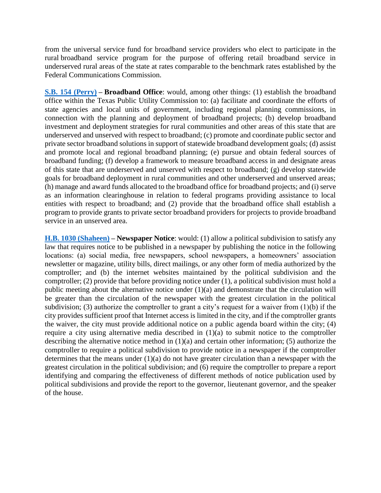from the universal service fund for broadband service providers who elect to participate in the rural broadband service program for the purpose of offering retail broadband service in underserved rural areas of the state at rates comparable to the benchmark rates established by the Federal Communications Commission.

**[S.B. 154 \(Perry\)](https://capitol.texas.gov/BillLookup/History.aspx?LegSess=87R&Bill=SB154) – Broadband Office**: would, among other things: (1) establish the broadband office within the Texas Public Utility Commission to: (a) facilitate and coordinate the efforts of state agencies and local units of government, including regional planning commissions, in connection with the planning and deployment of broadband projects; (b) develop broadband investment and deployment strategies for rural communities and other areas of this state that are underserved and unserved with respect to broadband; (c) promote and coordinate public sector and private sector broadband solutions in support of statewide broadband development goals; (d) assist and promote local and regional broadband planning; (e) pursue and obtain federal sources of broadband funding; (f) develop a framework to measure broadband access in and designate areas of this state that are underserved and unserved with respect to broadband; (g) develop statewide goals for broadband deployment in rural communities and other underserved and unserved areas; (h) manage and award funds allocated to the broadband office for broadband projects; and (i) serve as an information clearinghouse in relation to federal programs providing assistance to local entities with respect to broadband; and (2) provide that the broadband office shall establish a program to provide grants to private sector broadband providers for projects to provide broadband service in an unserved area.

**[H.B. 1030 \(Shaheen\)](https://capitol.texas.gov/BillLookup/History.aspx?LegSess=87R&Bill=HB1030) – Newspaper Notice**: would: (1) allow a political subdivision to satisfy any law that requires notice to be published in a newspaper by publishing the notice in the following locations: (a) social media, free newspapers, school newspapers, a homeowners' association newsletter or magazine, utility bills, direct mailings, or any other form of media authorized by the comptroller; and (b) the internet websites maintained by the political subdivision and the comptroller; (2) provide that before providing notice under (1), a political subdivision must hold a public meeting about the alternative notice under (1)(a) and demonstrate that the circulation will be greater than the circulation of the newspaper with the greatest circulation in the political subdivision; (3) authorize the comptroller to grant a city's request for a waiver from (1)(b) if the city provides sufficient proof that Internet access is limited in the city, and if the comptroller grants the waiver, the city must provide additional notice on a public agenda board within the city; (4) require a city using alternative media described in (1)(a) to submit notice to the comptroller describing the alternative notice method in (1)(a) and certain other information; (5) authorize the comptroller to require a political subdivision to provide notice in a newspaper if the comptroller determines that the means under  $(1)(a)$  do not have greater circulation than a newspaper with the greatest circulation in the political subdivision; and (6) require the comptroller to prepare a report identifying and comparing the effectiveness of different methods of notice publication used by political subdivisions and provide the report to the governor, lieutenant governor, and the speaker of the house.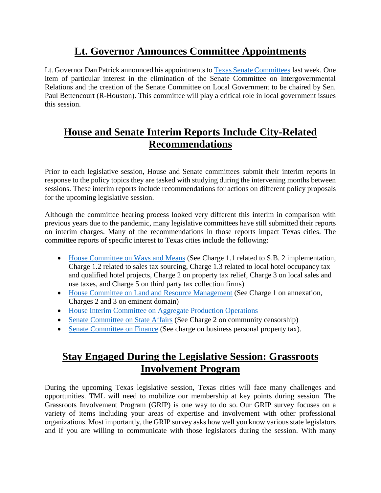# **Lt. Governor Announces Committee Appointments**

Lt. Governor Dan Patrick announced his appointments t[o Texas Senate Committees](https://www.ltgov.texas.gov/wp-content/uploads/2021/01/2021-Senate-Committees.pdf) last week. One item of particular interest in the elimination of the Senate Committee on Intergovernmental Relations and the creation of the Senate Committee on Local Government to be chaired by Sen. Paul Bettencourt (R-Houston). This committee will play a critical role in local government issues this session.

## **House and Senate Interim Reports Include City-Related Recommendations**

Prior to each legislative session, House and Senate committees submit their interim reports in response to the policy topics they are tasked with studying during the intervening months between sessions. These interim reports include recommendations for actions on different policy proposals for the upcoming legislative session.

Although the committee hearing process looked very different this interim in comparison with previous years due to the pandemic, many legislative committees have still submitted their reports on interim charges. Many of the recommendations in those reports impact Texas cities. The committee reports of specific interest to Texas cities include the following:

- [House Committee on Ways and Means](https://house.texas.gov/_media/pdf/committees/reports/86interim/Ways-Means-Committee-Interim-Report-2020.pdf) (See Charge 1.1 related to S.B. 2 implementation, Charge 1.2 related to sales tax sourcing, Charge 1.3 related to local hotel occupancy tax and qualified hotel projects, Charge 2 on property tax relief, Charge 3 on local sales and use taxes, and Charge 5 on third party tax collection firms)
- [House Committee on Land and Resource Management](https://house.texas.gov/_media/pdf/committees/reports/86interim/Land-and-Resource-Management-Committee-Interim-Report-2020.pdf) (See Charge 1 on annexation, Charges 2 and 3 on eminent domain)
- [House Interim Committee on Aggregate Production Operations](https://house.texas.gov/_media/pdf/committees/reports/86interim/Aggregate-Production-Operations-Committee-Interim-Report-2018.pdf)
- [Senate Committee on State Affairs](https://senate.texas.gov/cmtes/87/c570/c570.InterimReport2020.pdf) (See Charge 2 on community censorship)
- [Senate Committee on Finance](https://senate.texas.gov/cmtes/87/c540/c540.InterimReport2020.pdf) (See charge on business personal property tax).

## **Stay Engaged During the Legislative Session: Grassroots Involvement Program**

During the upcoming Texas legislative session, Texas cities will face many challenges and opportunities. TML will need to mobilize our membership at key points during session. The Grassroots Involvement Program (GRIP) is one way to do so. Our GRIP survey focuses on a variety of items including your areas of expertise and involvement with other professional organizations. Most importantly, the GRIP survey asks how well you know various state legislators and if you are willing to communicate with those legislators during the session. With many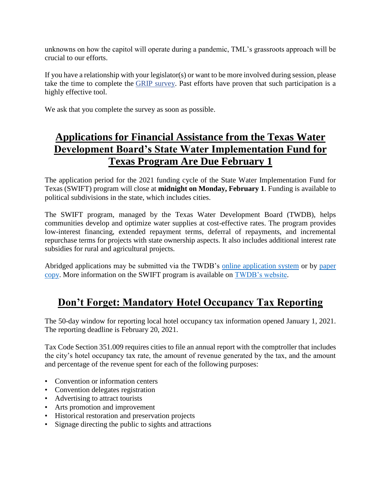unknowns on how the capitol will operate during a pandemic, TML's grassroots approach will be crucial to our efforts.

If you have a relationship with your legislator(s) or want to be more involved during session, please take the time to complete the [GRIP survey.](https://tml.co1.qualtrics.com/jfe/form/SV_bynhW1yMazt7rV3) Past efforts have proven that such participation is a highly effective tool.

We ask that you complete the survey as soon as possible.

## **Applications for Financial Assistance from the Texas Water Development Board's State Water Implementation Fund for Texas Program Are Due February 1**

The application period for the 2021 funding cycle of the State Water Implementation Fund for Texas (SWIFT) program will close at **midnight on Monday, February 1**. Funding is available to political subdivisions in the state, which includes cities.

The SWIFT program, managed by the Texas Water Development Board (TWDB), helps communities develop and optimize water supplies at cost-effective rates. The program provides low-interest financing, extended repayment terms, deferral of repayments, and incremental repurchase terms for projects with state ownership aspects. It also includes additional interest rate subsidies for rural and agricultural projects.

Abridged applications may be submitted via the TWDB's [online application system](http://r20.rs6.net/tn.jsp?f=001Dud5Wjd8ZudKopk8MkKUnXQDOeNfXVTT_y_gfXa3JTwG1i_V0LrbFKEVlR6YAhI8GXf3x1wv2lbi2NcVUoSCB_SoYrUxoR5w8e3RJurSsr-3TZRF_cxrzazrlNk8HqRAn9VXOkSOvb-cw2XPZ67lMQ==&c=4MU_wF7K2jcIPINHhtRyT6KprWwSNy0nvLySxzvto5KvhjywXfF0iA==&ch=zSrPNA3MsfxaC2nIUvFXvacs0b2fT-oCJFmSDAAg4TJcC3Yj6Js3ug==) or by [paper](http://r20.rs6.net/tn.jsp?f=001Dud5Wjd8ZudKopk8MkKUnXQDOeNfXVTT_y_gfXa3JTwG1i_V0LrbFLjE29jcgKlxyShI4lI8-EnaOdPMu6vZKiAFvRBvjDDdyZkQQFhPVboDBDDjjoUcmJkZP10jvBJbT577-3gEaUqnqPqKMnoVMAMG4W1C6XocGXFBRq_5BppNuGnKOR_7a2YEjzDU8La-eJ78WXH0YS4=&c=4MU_wF7K2jcIPINHhtRyT6KprWwSNy0nvLySxzvto5KvhjywXfF0iA==&ch=zSrPNA3MsfxaC2nIUvFXvacs0b2fT-oCJFmSDAAg4TJcC3Yj6Js3ug==)  [copy.](http://r20.rs6.net/tn.jsp?f=001Dud5Wjd8ZudKopk8MkKUnXQDOeNfXVTT_y_gfXa3JTwG1i_V0LrbFLjE29jcgKlxyShI4lI8-EnaOdPMu6vZKiAFvRBvjDDdyZkQQFhPVboDBDDjjoUcmJkZP10jvBJbT577-3gEaUqnqPqKMnoVMAMG4W1C6XocGXFBRq_5BppNuGnKOR_7a2YEjzDU8La-eJ78WXH0YS4=&c=4MU_wF7K2jcIPINHhtRyT6KprWwSNy0nvLySxzvto5KvhjywXfF0iA==&ch=zSrPNA3MsfxaC2nIUvFXvacs0b2fT-oCJFmSDAAg4TJcC3Yj6Js3ug==) More information on the SWIFT program is available on [TWDB's website.](http://www.twdb.texas.gov/financial/programs/swift/index.asp)

## **Don't Forget: Mandatory Hotel Occupancy Tax Reporting**

The 50-day window for reporting local hotel occupancy tax information opened January 1, 2021. The reporting deadline is February 20, 2021.

Tax Code Section 351.009 requires cities to file an annual report with the comptroller that includes the city's hotel occupancy tax rate, the amount of revenue generated by the tax, and the amount and percentage of the revenue spent for each of the following purposes:

- Convention or information centers
- Convention delegates registration
- Advertising to attract tourists
- Arts promotion and improvement
- Historical restoration and preservation projects
- Signage directing the public to sights and attractions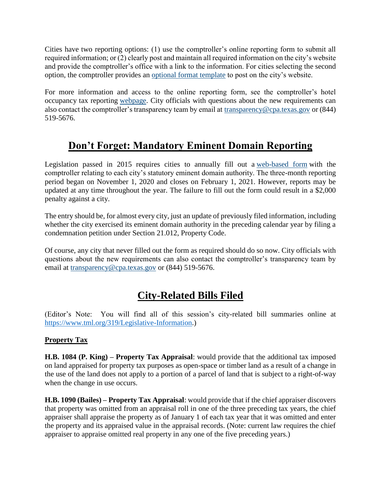Cities have two reporting options: (1) use the comptroller's online reporting form to submit all required information; or (2) clearly post and maintain all required information on the city's website and provide the comptroller's office with a link to the information. For cities selecting the second option, the comptroller provides an [optional format template](https://comptroller.texas.gov/transparency/local/hotel-receipts/docs/sb1221-online-template.xlsx) to post on the city's website.

For more information and access to the online reporting form, see the comptroller's hotel occupancy tax reporting [webpage.](https://comptroller.texas.gov/transparency/local/hotel-receipts/) City officials with questions about the new requirements can also contact the comptroller's transparency team by email at [transparency@cpa.texas.gov](mailto:transparency@cpa.texas.gov) or (844) 519-5676.

## **Don't Forget: Mandatory Eminent Domain Reporting**

Legislation passed in 2015 requires cities to annually fill out a [web-based form](https://www.comptroller.texas.gov/transparency/local/eminent-domain/reporting.php) with the comptroller relating to each city's statutory eminent domain authority. The three-month reporting period began on November 1, 2020 and closes on February 1, 2021. However, reports may be updated at any time throughout the year. The failure to fill out the form could result in a \$2,000 penalty against a city.

The entry should be, for almost every city, just an update of previously filed information, including whether the city exercised its eminent domain authority in the preceding calendar year by filing a condemnation petition under Section 21.012, Property Code.

Of course, any city that never filled out the form as required should do so now. City officials with questions about the new requirements can also contact the comptroller's transparency team by email at [transparency@cpa.texas.gov](mailto:transparency@cpa.texas.gov) or (844) 519-5676.

## **City-Related Bills Filed**

(Editor's Note: You will find all of this session's city-related bill summaries online at [https://www.tml.org/319/Legislative-Information.](https://www.tml.org/319/Legislative-Information))

### **Property Tax**

**H.B. 1084 (P. King) – Property Tax Appraisal**: would provide that the additional tax imposed on land appraised for property tax purposes as open-space or timber land as a result of a change in the use of the land does not apply to a portion of a parcel of land that is subject to a right-of-way when the change in use occurs.

**H.B. 1090 (Bailes) – Property Tax Appraisal**: would provide that if the chief appraiser discovers that property was omitted from an appraisal roll in one of the three preceding tax years, the chief appraiser shall appraise the property as of January 1 of each tax year that it was omitted and enter the property and its appraised value in the appraisal records. (Note: current law requires the chief appraiser to appraise omitted real property in any one of the five preceding years.)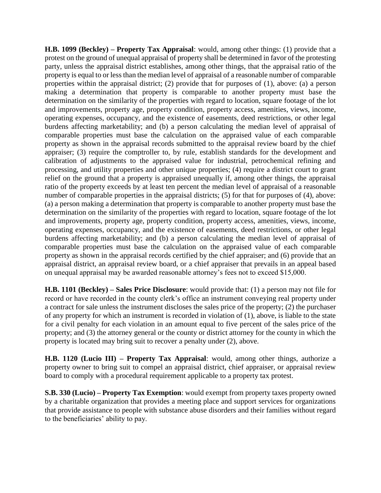**H.B. 1099 (Beckley) – Property Tax Appraisal**: would, among other things: (1) provide that a protest on the ground of unequal appraisal of property shall be determined in favor of the protesting party, unless the appraisal district establishes, among other things, that the appraisal ratio of the property is equal to or less than the median level of appraisal of a reasonable number of comparable properties within the appraisal district; (2) provide that for purposes of (1), above: (a) a person making a determination that property is comparable to another property must base the determination on the similarity of the properties with regard to location, square footage of the lot and improvements, property age, property condition, property access, amenities, views, income, operating expenses, occupancy, and the existence of easements, deed restrictions, or other legal burdens affecting marketability; and (b) a person calculating the median level of appraisal of comparable properties must base the calculation on the appraised value of each comparable property as shown in the appraisal records submitted to the appraisal review board by the chief appraiser; (3) require the comptroller to, by rule, establish standards for the development and calibration of adjustments to the appraised value for industrial, petrochemical refining and processing, and utility properties and other unique properties; (4) require a district court to grant relief on the ground that a property is appraised unequally if, among other things, the appraisal ratio of the property exceeds by at least ten percent the median level of appraisal of a reasonable number of comparable properties in the appraisal districts; (5) for that for purposes of (4), above: (a) a person making a determination that property is comparable to another property must base the determination on the similarity of the properties with regard to location, square footage of the lot and improvements, property age, property condition, property access, amenities, views, income, operating expenses, occupancy, and the existence of easements, deed restrictions, or other legal burdens affecting marketability; and (b) a person calculating the median level of appraisal of comparable properties must base the calculation on the appraised value of each comparable property as shown in the appraisal records certified by the chief appraiser; and (6) provide that an appraisal district, an appraisal review board, or a chief appraiser that prevails in an appeal based on unequal appraisal may be awarded reasonable attorney's fees not to exceed \$15,000.

**H.B. 1101 (Beckley) – Sales Price Disclosure**: would provide that: (1) a person may not file for record or have recorded in the county clerk's office an instrument conveying real property under a contract for sale unless the instrument discloses the sales price of the property; (2) the purchaser of any property for which an instrument is recorded in violation of (1), above, is liable to the state for a civil penalty for each violation in an amount equal to five percent of the sales price of the property; and (3) the attorney general or the county or district attorney for the county in which the property is located may bring suit to recover a penalty under (2), above.

**H.B. 1120 (Lucio III) – Property Tax Appraisal**: would, among other things, authorize a property owner to bring suit to compel an appraisal district, chief appraiser, or appraisal review board to comply with a procedural requirement applicable to a property tax protest.

**S.B. 330 (Lucio) – Property Tax Exemption**: would exempt from property taxes property owned by a charitable organization that provides a meeting place and support services for organizations that provide assistance to people with substance abuse disorders and their families without regard to the beneficiaries' ability to pay.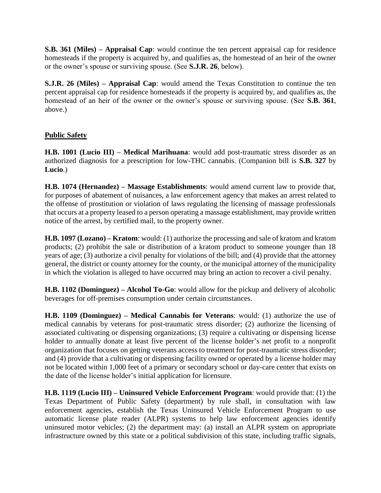**S.B. 361 (Miles) – Appraisal Cap**: would continue the ten percent appraisal cap for residence homesteads if the property is acquired by, and qualifies as, the homestead of an heir of the owner or the owner's spouse or surviving spouse. (See **S.J.R. 26**, below).

**S.J.R. 26 (Miles) – Appraisal Cap**: would amend the Texas Constitution to continue the ten percent appraisal cap for residence homesteads if the property is acquired by, and qualifies as, the homestead of an heir of the owner or the owner's spouse or surviving spouse. (See **S.B. 361**, above.)

### **Public Safety**

**H.B. 1001 (Lucio III) – Medical Marihuana**: would add post-traumatic stress disorder as an authorized diagnosis for a prescription for low-THC cannabis. (Companion bill is **S.B. 327** by **Lucio**.)

**H.B. 1074 (Hernandez) – Massage Establishments**: would amend current law to provide that, for purposes of abatement of nuisances, a law enforcement agency that makes an arrest related to the offense of prostitution or violation of laws regulating the licensing of massage professionals that occurs at a property leased to a person operating a massage establishment, may provide written notice of the arrest, by certified mail, to the property owner.

**H.B. 1097 (Lozano) – Kratom**: would: (1) authorize the processing and sale of kratom and kratom products; (2) prohibit the sale or distribution of a kratom product to someone younger than 18 years of age; (3) authorize a civil penalty for violations of the bill; and (4) provide that the attorney general, the district or county attorney for the county, or the municipal attorney of the municipality in which the violation is alleged to have occurred may bring an action to recover a civil penalty.

**H.B. 1102 (Dominguez) – Alcohol To-Go**: would allow for the pickup and delivery of alcoholic beverages for off-premises consumption under certain circumstances.

**H.B. 1109 (Dominguez) – Medical Cannabis for Veterans**: would: (1) authorize the use of medical cannabis by veterans for post-traumatic stress disorder; (2) authorize the licensing of associated cultivating or dispensing organizations; (3) require a cultivating or dispensing license holder to annually donate at least five percent of the license holder's net profit to a nonprofit organization that focuses on getting veterans access to treatment for post-traumatic stress disorder; and (4) provide that a cultivating or dispensing facility owned or operated by a license holder may not be located within 1,000 feet of a primary or secondary school or day-care center that exists on the date of the license holder's initial application for licensure.

**H.B. 1119 (Lucio III) – Uninsured Vehicle Enforcement Program**: would provide that: (1) the Texas Department of Public Safety (department) by rule shall, in consultation with law enforcement agencies, establish the Texas Uninsured Vehicle Enforcement Program to use automatic license plate reader (ALPR) systems to help law enforcement agencies identify uninsured motor vehicles; (2) the department may: (a) install an ALPR system on appropriate infrastructure owned by this state or a political subdivision of this state, including traffic signals,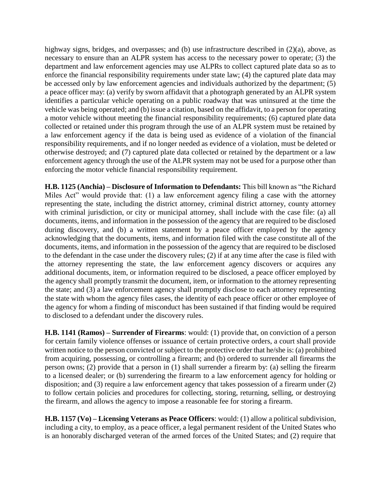highway signs, bridges, and overpasses; and (b) use infrastructure described in (2)(a), above, as necessary to ensure than an ALPR system has access to the necessary power to operate; (3) the department and law enforcement agencies may use ALPRs to collect captured plate data so as to enforce the financial responsibility requirements under state law; (4) the captured plate data may be accessed only by law enforcement agencies and individuals authorized by the department; (5) a peace officer may: (a) verify by sworn affidavit that a photograph generated by an ALPR system identifies a particular vehicle operating on a public roadway that was uninsured at the time the vehicle was being operated; and (b) issue a citation, based on the affidavit, to a person for operating a motor vehicle without meeting the financial responsibility requirements; (6) captured plate data collected or retained under this program through the use of an ALPR system must be retained by a law enforcement agency if the data is being used as evidence of a violation of the financial responsibility requirements, and if no longer needed as evidence of a violation, must be deleted or otherwise destroyed; and (7) captured plate data collected or retained by the department or a law enforcement agency through the use of the ALPR system may not be used for a purpose other than enforcing the motor vehicle financial responsibility requirement.

**H.B. 1125 (Anchia) – Disclosure of Information to Defendants:** This bill known as "the Richard Miles Act" would provide that: (1) a law enforcement agency filing a case with the attorney representing the state, including the district attorney, criminal district attorney, county attorney with criminal jurisdiction, or city or municipal attorney, shall include with the case file: (a) all documents, items, and information in the possession of the agency that are required to be disclosed during discovery, and (b) a written statement by a peace officer employed by the agency acknowledging that the documents, items, and information filed with the case constitute all of the documents, items, and information in the possession of the agency that are required to be disclosed to the defendant in the case under the discovery rules; (2) if at any time after the case is filed with the attorney representing the state, the law enforcement agency discovers or acquires any additional documents, item, or information required to be disclosed, a peace officer employed by the agency shall promptly transmit the document, item, or information to the attorney representing the state; and (3) a law enforcement agency shall promptly disclose to each attorney representing the state with whom the agency files cases, the identity of each peace officer or other employee of the agency for whom a finding of misconduct has been sustained if that finding would be required to disclosed to a defendant under the discovery rules.

**H.B. 1141 (Ramos) – Surrender of Firearms**: would: (1) provide that, on conviction of a person for certain family violence offenses or issuance of certain protective orders, a court shall provide written notice to the person convicted or subject to the protective order that he/she is: (a) prohibited from acquiring, possessing, or controlling a firearm; and (b) ordered to surrender all firearms the person owns; (2) provide that a person in (1) shall surrender a firearm by: (a) selling the firearm to a licensed dealer; or (b) surrendering the firearm to a law enforcement agency for holding or disposition; and (3) require a law enforcement agency that takes possession of a firearm under (2) to follow certain policies and procedures for collecting, storing, returning, selling, or destroying the firearm, and allows the agency to impose a reasonable fee for storing a firearm.

**H.B. 1157 (Vo) – Licensing Veterans as Peace Officers**: would: (1) allow a political subdivision, including a city, to employ, as a peace officer, a legal permanent resident of the United States who is an honorably discharged veteran of the armed forces of the United States; and (2) require that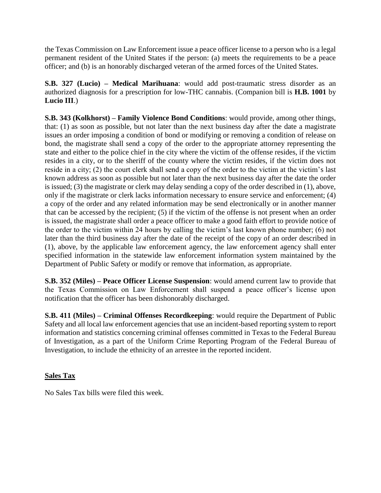the Texas Commission on Law Enforcement issue a peace officer license to a person who is a legal permanent resident of the United States if the person: (a) meets the requirements to be a peace officer; and (b) is an honorably discharged veteran of the armed forces of the United States.

**S.B. 327 (Lucio) – Medical Marihuana**: would add post-traumatic stress disorder as an authorized diagnosis for a prescription for low-THC cannabis. (Companion bill is **H.B. 1001** by **Lucio III**.)

**S.B. 343 (Kolkhorst) – Family Violence Bond Conditions**: would provide, among other things, that: (1) as soon as possible, but not later than the next business day after the date a magistrate issues an order imposing a condition of bond or modifying or removing a condition of release on bond, the magistrate shall send a copy of the order to the appropriate attorney representing the state and either to the police chief in the city where the victim of the offense resides, if the victim resides in a city, or to the sheriff of the county where the victim resides, if the victim does not reside in a city; (2) the court clerk shall send a copy of the order to the victim at the victim's last known address as soon as possible but not later than the next business day after the date the order is issued; (3) the magistrate or clerk may delay sending a copy of the order described in (1), above, only if the magistrate or clerk lacks information necessary to ensure service and enforcement; (4) a copy of the order and any related information may be send electronically or in another manner that can be accessed by the recipient; (5) if the victim of the offense is not present when an order is issued, the magistrate shall order a peace officer to make a good faith effort to provide notice of the order to the victim within 24 hours by calling the victim's last known phone number; (6) not later than the third business day after the date of the receipt of the copy of an order described in (1), above, by the applicable law enforcement agency, the law enforcement agency shall enter specified information in the statewide law enforcement information system maintained by the Department of Public Safety or modify or remove that information, as appropriate.

**S.B. 352 (Miles) – Peace Officer License Suspension**: would amend current law to provide that the Texas Commission on Law Enforcement shall suspend a peace officer's license upon notification that the officer has been dishonorably discharged.

**S.B. 411 (Miles) – Criminal Offenses Recordkeeping**: would require the Department of Public Safety and all local law enforcement agencies that use an incident-based reporting system to report information and statistics concerning criminal offenses committed in Texas to the Federal Bureau of Investigation, as a part of the Uniform Crime Reporting Program of the Federal Bureau of Investigation, to include the ethnicity of an arrestee in the reported incident.

#### **Sales Tax**

No Sales Tax bills were filed this week.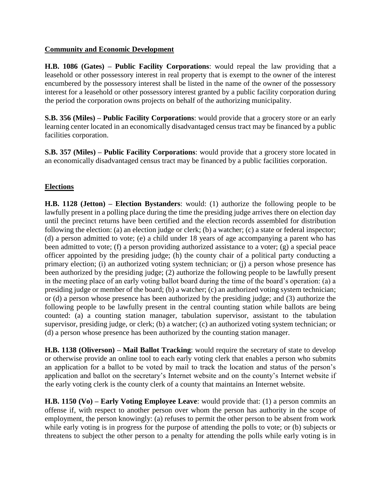#### **Community and Economic Development**

**H.B. 1086 (Gates) – Public Facility Corporations**: would repeal the law providing that a leasehold or other possessory interest in real property that is exempt to the owner of the interest encumbered by the possessory interest shall be listed in the name of the owner of the possessory interest for a leasehold or other possessory interest granted by a public facility corporation during the period the corporation owns projects on behalf of the authorizing municipality.

**S.B. 356 (Miles) – Public Facility Corporations**: would provide that a grocery store or an early learning center located in an economically disadvantaged census tract may be financed by a public facilities corporation.

**S.B. 357 (Miles) – Public Facility Corporations**: would provide that a grocery store located in an economically disadvantaged census tract may be financed by a public facilities corporation.

### **Elections**

**H.B. 1128 (Jetton) – Election Bystanders**: would: (1) authorize the following people to be lawfully present in a polling place during the time the presiding judge arrives there on election day until the precinct returns have been certified and the election records assembled for distribution following the election: (a) an election judge or clerk; (b) a watcher; (c) a state or federal inspector; (d) a person admitted to vote; (e) a child under 18 years of age accompanying a parent who has been admitted to vote; (f) a person providing authorized assistance to a voter; (g) a special peace officer appointed by the presiding judge; (h) the county chair of a political party conducting a primary election; (i) an authorized voting system technician; or (j) a person whose presence has been authorized by the presiding judge; (2) authorize the following people to be lawfully present in the meeting place of an early voting ballot board during the time of the board's operation: (a) a presiding judge or member of the board; (b) a watcher; (c) an authorized voting system technician; or (d) a person whose presence has been authorized by the presiding judge; and (3) authorize the following people to be lawfully present in the central counting station while ballots are being counted: (a) a counting station manager, tabulation supervisor, assistant to the tabulation supervisor, presiding judge, or clerk; (b) a watcher; (c) an authorized voting system technician; or (d) a person whose presence has been authorized by the counting station manager.

**H.B. 1138 (Oliverson) – Mail Ballot Tracking**: would require the secretary of state to develop or otherwise provide an online tool to each early voting clerk that enables a person who submits an application for a ballot to be voted by mail to track the location and status of the person's application and ballot on the secretary's Internet website and on the county's Internet website if the early voting clerk is the county clerk of a county that maintains an Internet website.

**H.B. 1150 (Vo) – Early Voting Employee Leave**: would provide that: (1) a person commits an offense if, with respect to another person over whom the person has authority in the scope of employment, the person knowingly: (a) refuses to permit the other person to be absent from work while early voting is in progress for the purpose of attending the polls to vote; or (b) subjects or threatens to subject the other person to a penalty for attending the polls while early voting is in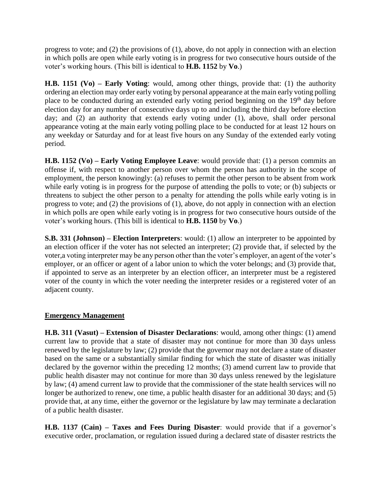progress to vote; and (2) the provisions of (1), above, do not apply in connection with an election in which polls are open while early voting is in progress for two consecutive hours outside of the voter's working hours. (This bill is identical to **H.B. 1152** by **Vo**.)

**H.B. 1151 (Vo) – Early Voting**: would, among other things, provide that: (1) the authority ordering an election may order early voting by personal appearance at the main early voting polling place to be conducted during an extended early voting period beginning on the  $19<sup>th</sup>$  day before election day for any number of consecutive days up to and including the third day before election day; and (2) an authority that extends early voting under (1), above, shall order personal appearance voting at the main early voting polling place to be conducted for at least 12 hours on any weekday or Saturday and for at least five hours on any Sunday of the extended early voting period.

**H.B. 1152 (Vo) – Early Voting Employee Leave**: would provide that: (1) a person commits an offense if, with respect to another person over whom the person has authority in the scope of employment, the person knowingly: (a) refuses to permit the other person to be absent from work while early voting is in progress for the purpose of attending the polls to vote; or (b) subjects or threatens to subject the other person to a penalty for attending the polls while early voting is in progress to vote; and (2) the provisions of (1), above, do not apply in connection with an election in which polls are open while early voting is in progress for two consecutive hours outside of the voter's working hours. (This bill is identical to **H.B. 1150** by **Vo**.)

**S.B. 331 (Johnson) – Election Interpreters**: would: (1) allow an interpreter to be appointed by an election officer if the voter has not selected an interpreter; (2) provide that, if selected by the voter,a voting interpreter may be any person other than the voter's employer, an agent of the voter's employer, or an officer or agent of a labor union to which the voter belongs; and (3) provide that, if appointed to serve as an interpreter by an election officer, an interpreter must be a registered voter of the county in which the voter needing the interpreter resides or a registered voter of an adjacent county.

### **Emergency Management**

**H.B. 311 (Vasut) – Extension of Disaster Declarations**: would, among other things: (1) amend current law to provide that a state of disaster may not continue for more than 30 days unless renewed by the legislature by law; (2) provide that the governor may not declare a state of disaster based on the same or a substantially similar finding for which the state of disaster was initially declared by the governor within the preceding 12 months; (3) amend current law to provide that public health disaster may not continue for more than 30 days unless renewed by the legislature by law; (4) amend current law to provide that the commissioner of the state health services will no longer be authorized to renew, one time, a public health disaster for an additional 30 days; and (5) provide that, at any time, either the governor or the legislature by law may terminate a declaration of a public health disaster.

**H.B. 1137 (Cain) – Taxes and Fees During Disaster**: would provide that if a governor's executive order, proclamation, or regulation issued during a declared state of disaster restricts the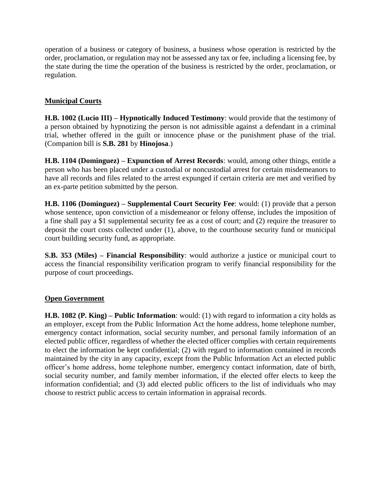operation of a business or category of business, a business whose operation is restricted by the order, proclamation, or regulation may not be assessed any tax or fee, including a licensing fee, by the state during the time the operation of the business is restricted by the order, proclamation, or regulation.

### **Municipal Courts**

**H.B. 1002 (Lucio III) – Hypnotically Induced Testimony**: would provide that the testimony of a person obtained by hypnotizing the person is not admissible against a defendant in a criminal trial, whether offered in the guilt or innocence phase or the punishment phase of the trial. (Companion bill is **S.B. 281** by **Hinojosa**.)

**H.B. 1104 (Dominguez) – Expunction of Arrest Records**: would, among other things, entitle a person who has been placed under a custodial or noncustodial arrest for certain misdemeanors to have all records and files related to the arrest expunged if certain criteria are met and verified by an ex-parte petition submitted by the person.

**H.B. 1106 (Dominguez) – Supplemental Court Security Fee**: would: (1) provide that a person whose sentence, upon conviction of a misdemeanor or felony offense, includes the imposition of a fine shall pay a \$1 supplemental security fee as a cost of court; and (2) require the treasurer to deposit the court costs collected under (1), above, to the courthouse security fund or municipal court building security fund, as appropriate.

**S.B. 353 (Miles) – Financial Responsibility**: would authorize a justice or municipal court to access the financial responsibility verification program to verify financial responsibility for the purpose of court proceedings.

#### **Open Government**

**H.B. 1082 (P. King) – Public Information**: would: (1) with regard to information a city holds as an employer, except from the Public Information Act the home address, home telephone number, emergency contact information, social security number, and personal family information of an elected public officer, regardless of whether the elected officer complies with certain requirements to elect the information be kept confidential; (2) with regard to information contained in records maintained by the city in any capacity, except from the Public Information Act an elected public officer's home address, home telephone number, emergency contact information, date of birth, social security number, and family member information, if the elected offer elects to keep the information confidential; and (3) add elected public officers to the list of individuals who may choose to restrict public access to certain information in appraisal records.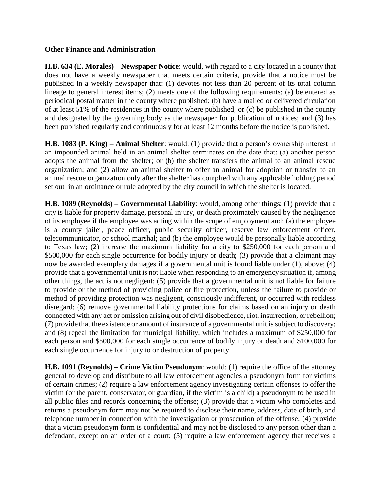#### **Other Finance and Administration**

**H.B. 634 (E. Morales) – Newspaper Notice**: would, with regard to a city located in a county that does not have a weekly newspaper that meets certain criteria, provide that a notice must be published in a weekly newspaper that: (1) devotes not less than 20 percent of its total column lineage to general interest items; (2) meets one of the following requirements: (a) be entered as periodical postal matter in the county where published; (b) have a mailed or delivered circulation of at least 51% of the residences in the county where published; or (c) be published in the county and designated by the governing body as the newspaper for publication of notices; and (3) has been published regularly and continuously for at least 12 months before the notice is published.

**H.B. 1083 (P. King) – Animal Shelter**: would: (1) provide that a person's ownership interest in an impounded animal held in an animal shelter terminates on the date that: (a) another person adopts the animal from the shelter; or (b) the shelter transfers the animal to an animal rescue organization; and (2) allow an animal shelter to offer an animal for adoption or transfer to an animal rescue organization only after the shelter has complied with any applicable holding period set out in an ordinance or rule adopted by the city council in which the shelter is located.

**H.B. 1089 (Reynolds) – Governmental Liability**: would, among other things: (1) provide that a city is liable for property damage, personal injury, or death proximately caused by the negligence of its employee if the employee was acting within the scope of employment and: (a) the employee is a county jailer, peace officer, public security officer, reserve law enforcement officer, telecommunicator, or school marshal; and (b) the employee would be personally liable according to Texas law; (2) increase the maximum liability for a city to \$250,000 for each person and \$500,000 for each single occurrence for bodily injury or death; (3) provide that a claimant may now be awarded exemplary damages if a governmental unit is found liable under (1), above; (4) provide that a governmental unit is not liable when responding to an emergency situation if, among other things, the act is not negligent; (5) provide that a governmental unit is not liable for failure to provide or the method of providing police or fire protection, unless the failure to provide or method of providing protection was negligent, consciously indifferent, or occurred with reckless disregard; (6) remove governmental liability protections for claims based on an injury or death connected with any act or omission arising out of civil disobedience, riot, insurrection, or rebellion; (7) provide that the existence or amount of insurance of a governmental unit is subject to discovery; and (8) repeal the limitation for municipal liability, which includes a maximum of \$250,000 for each person and \$500,000 for each single occurrence of bodily injury or death and \$100,000 for each single occurrence for injury to or destruction of property.

**H.B. 1091 (Reynolds) – Crime Victim Pseudonym**: would: (1) require the office of the attorney general to develop and distribute to all law enforcement agencies a pseudonym form for victims of certain crimes; (2) require a law enforcement agency investigating certain offenses to offer the victim (or the parent, conservator, or guardian, if the victim is a child) a pseudonym to be used in all public files and records concerning the offense; (3) provide that a victim who completes and returns a pseudonym form may not be required to disclose their name, address, date of birth, and telephone number in connection with the investigation or prosecution of the offense; (4) provide that a victim pseudonym form is confidential and may not be disclosed to any person other than a defendant, except on an order of a court; (5) require a law enforcement agency that receives a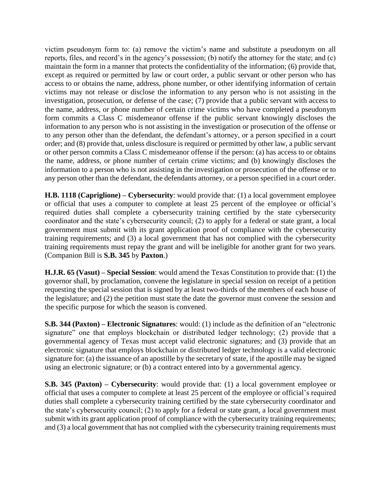victim pseudonym form to: (a) remove the victim's name and substitute a pseudonym on all reports, files, and record's in the agency's possession; (b) notify the attorney for the state; and (c) maintain the form in a manner that protects the confidentiality of the information; (6) provide that, except as required or permitted by law or court order, a public servant or other person who has access to or obtains the name, address, phone number, or other identifying information of certain victims may not release or disclose the information to any person who is not assisting in the investigation, prosecution, or defense of the case; (7) provide that a public servant with access to the name, address, or phone number of certain crime victims who have completed a pseudonym form commits a Class C misdemeanor offense if the public servant knowingly discloses the information to any person who is not assisting in the investigation or prosecution of the offense or to any person other than the defendant, the defendant's attorney, or a person specified in a court order; and (8) provide that, unless disclosure is required or permitted by other law, a public servant or other person commits a Class C misdemeanor offense if the person: (a) has access to or obtains the name, address, or phone number of certain crime victims; and (b) knowingly discloses the information to a person who is not assisting in the investigation or prosecution of the offense or to any person other than the defendant, the defendants attorney, or a person specified in a court order.

**H.B. 1118 (Capriglione) – Cybersecurity**: would provide that: (1) a local government employee or official that uses a computer to complete at least 25 percent of the employee or official's required duties shall complete a cybersecurity training certified by the state cybersecurity coordinator and the state's cybersecurity council; (2) to apply for a federal or state grant, a local government must submit with its grant application proof of compliance with the cybersecurity training requirements; and (3) a local government that has not complied with the cybersecurity training requirements must repay the grant and will be ineligible for another grant for two years. (Companion Bill is **S.B. 345** by **Paxton**.)

**H.J.R. 65 (Vasut) – Special Session**: would amend the Texas Constitution to provide that: (1) the governor shall, by proclamation, convene the legislature in special session on receipt of a petition requesting the special session that is signed by at least two-thirds of the members of each house of the legislature; and (2) the petition must state the date the governor must convene the session and the specific purpose for which the season is convened.

**S.B. 344 (Paxton) – Electronic Signatures**: would: (1) include as the definition of an "electronic signature" one that employs blockchain or distributed ledger technology; (2) provide that a governmental agency of Texas must accept valid electronic signatures; and (3) provide that an electronic signature that employs blockchain or distributed ledger technology is a valid electronic signature for: (a) the issuance of an apostille by the secretary of state, if the apostille may be signed using an electronic signature; or (b) a contract entered into by a governmental agency.

**S.B. 345 (Paxton) – Cybersecurity**: would provide that: (1) a local government employee or official that uses a computer to complete at least 25 percent of the employee or official's required duties shall complete a cybersecurity training certified by the state cybersecurity coordinator and the state's cybersecurity council; (2) to apply for a federal or state grant, a local government must submit with its grant application proof of compliance with the cybersecurity training requirements; and (3) a local government that has not complied with the cybersecurity training requirements must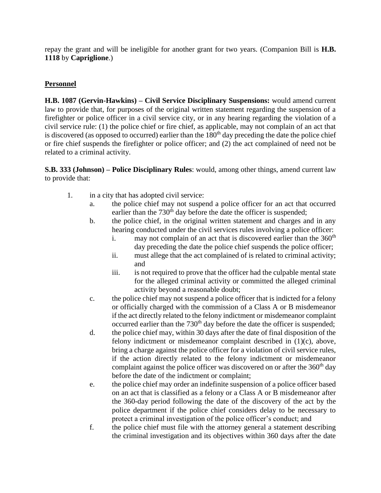repay the grant and will be ineligible for another grant for two years. (Companion Bill is **H.B. 1118** by **Capriglione**.)

### **Personnel**

**H.B. 1087 (Gervin-Hawkins) – Civil Service Disciplinary Suspensions:** would amend current law to provide that, for purposes of the original written statement regarding the suspension of a firefighter or police officer in a civil service city, or in any hearing regarding the violation of a civil service rule: (1) the police chief or fire chief, as applicable, may not complain of an act that is discovered (as opposed to occurred) earlier than the  $180<sup>th</sup>$  day preceding the date the police chief or fire chief suspends the firefighter or police officer; and (2) the act complained of need not be related to a criminal activity.

**S.B. 333 (Johnson) – Police Disciplinary Rules**: would, among other things, amend current law to provide that:

- 1. in a city that has adopted civil service:
	- a. the police chief may not suspend a police officer for an act that occurred earlier than the  $730<sup>th</sup>$  day before the date the officer is suspended;
	- b. the police chief, in the original written statement and charges and in any hearing conducted under the civil services rules involving a police officer:
		- i. may not complain of an act that is discovered earlier than the  $360<sup>th</sup>$ day preceding the date the police chief suspends the police officer;
		- ii. must allege that the act complained of is related to criminal activity; and
		- iii. is not required to prove that the officer had the culpable mental state for the alleged criminal activity or committed the alleged criminal activity beyond a reasonable doubt;
	- c. the police chief may not suspend a police officer that is indicted for a felony or officially charged with the commission of a Class A or B misdemeanor if the act directly related to the felony indictment or misdemeanor complaint occurred earlier than the  $730<sup>th</sup>$  day before the date the officer is suspended;
	- d. the police chief may, within 30 days after the date of final disposition of the felony indictment or misdemeanor complaint described in (1)(c), above, bring a charge against the police officer for a violation of civil service rules, if the action directly related to the felony indictment or misdemeanor complaint against the police officer was discovered on or after the  $360<sup>th</sup>$  day before the date of the indictment or complaint;
	- e. the police chief may order an indefinite suspension of a police officer based on an act that is classified as a felony or a Class A or B misdemeanor after the 360-day period following the date of the discovery of the act by the police department if the police chief considers delay to be necessary to protect a criminal investigation of the police officer's conduct; and
	- f. the police chief must file with the attorney general a statement describing the criminal investigation and its objectives within 360 days after the date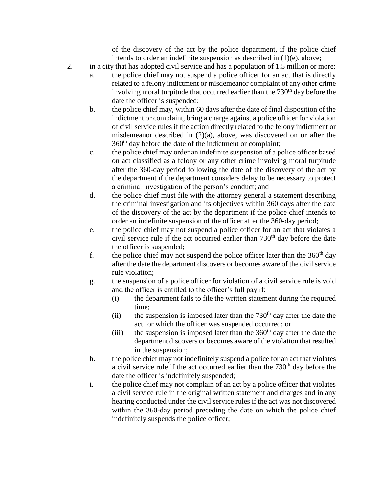of the discovery of the act by the police department, if the police chief intends to order an indefinite suspension as described in (1)(e), above;

- 2. in a city that has adopted civil service and has a population of 1.5 million or more:
	- a. the police chief may not suspend a police officer for an act that is directly related to a felony indictment or misdemeanor complaint of any other crime involving moral turpitude that occurred earlier than the  $730<sup>th</sup>$  day before the date the officer is suspended;
	- b. the police chief may, within 60 days after the date of final disposition of the indictment or complaint, bring a charge against a police officer for violation of civil service rules if the action directly related to the felony indictment or misdemeanor described in (2)(a), above, was discovered on or after the 360th day before the date of the indictment or complaint;
	- c. the police chief may order an indefinite suspension of a police officer based on act classified as a felony or any other crime involving moral turpitude after the 360-day period following the date of the discovery of the act by the department if the department considers delay to be necessary to protect a criminal investigation of the person's conduct; and
	- d. the police chief must file with the attorney general a statement describing the criminal investigation and its objectives within 360 days after the date of the discovery of the act by the department if the police chief intends to order an indefinite suspension of the officer after the 360-day period;
	- e. the police chief may not suspend a police officer for an act that violates a civil service rule if the act occurred earlier than  $730<sup>th</sup>$  day before the date the officer is suspended;
	- f. the police chief may not suspend the police officer later than the  $360<sup>th</sup>$  day after the date the department discovers or becomes aware of the civil service rule violation;
	- g. the suspension of a police officer for violation of a civil service rule is void and the officer is entitled to the officer's full pay if:
		- (i) the department fails to file the written statement during the required time;
		- (ii) the suspension is imposed later than the  $730<sup>th</sup>$  day after the date the act for which the officer was suspended occurred; or
		- (iii) the suspension is imposed later than the  $360<sup>th</sup>$  day after the date the department discovers or becomes aware of the violation that resulted in the suspension;
	- h. the police chief may not indefinitely suspend a police for an act that violates a civil service rule if the act occurred earlier than the  $730<sup>th</sup>$  day before the date the officer is indefinitely suspended;
	- i. the police chief may not complain of an act by a police officer that violates a civil service rule in the original written statement and charges and in any hearing conducted under the civil service rules if the act was not discovered within the 360-day period preceding the date on which the police chief indefinitely suspends the police officer;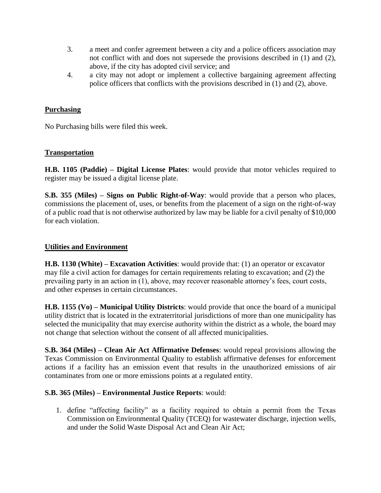- 3. a meet and confer agreement between a city and a police officers association may not conflict with and does not supersede the provisions described in (1) and (2), above, if the city has adopted civil service; and
- 4. a city may not adopt or implement a collective bargaining agreement affecting police officers that conflicts with the provisions described in (1) and (2), above.

#### **Purchasing**

No Purchasing bills were filed this week.

### **Transportation**

**H.B. 1105 (Paddie) – Digital License Plates**: would provide that motor vehicles required to register may be issued a digital license plate.

**S.B. 355 (Miles) – Signs on Public Right-of-Way**: would provide that a person who places, commissions the placement of, uses, or benefits from the placement of a sign on the right-of-way of a public road that is not otherwise authorized by law may be liable for a civil penalty of \$10,000 for each violation.

### **Utilities and Environment**

**H.B. 1130 (White) – Excavation Activities**: would provide that: (1) an operator or excavator may file a civil action for damages for certain requirements relating to excavation; and (2) the prevailing party in an action in (1), above, may recover reasonable attorney's fees, court costs, and other expenses in certain circumstances.

**H.B. 1155 (Vo) – Municipal Utility Districts**: would provide that once the board of a municipal utility district that is located in the extraterritorial jurisdictions of more than one municipality has selected the municipality that may exercise authority within the district as a whole, the board may not change that selection without the consent of all affected municipalities.

**S.B. 364 (Miles) – Clean Air Act Affirmative Defenses**: would repeal provisions allowing the Texas Commission on Environmental Quality to establish affirmative defenses for enforcement actions if a facility has an emission event that results in the unauthorized emissions of air contaminates from one or more emissions points at a regulated entity.

#### **S.B. 365 (Miles) – Environmental Justice Reports**: would:

1. define "affecting facility" as a facility required to obtain a permit from the Texas Commission on Environmental Quality (TCEQ) for wastewater discharge, injection wells, and under the Solid Waste Disposal Act and Clean Air Act;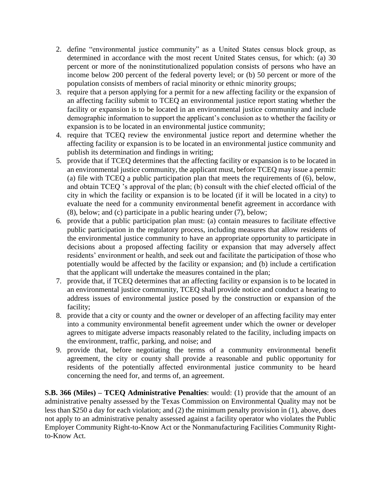- 2. define "environmental justice community" as a United States census block group, as determined in accordance with the most recent United States census, for which: (a) 30 percent or more of the noninstitutionalized population consists of persons who have an income below 200 percent of the federal poverty level; or (b) 50 percent or more of the population consists of members of racial minority or ethnic minority groups;
- 3. require that a person applying for a permit for a new affecting facility or the expansion of an affecting facility submit to TCEQ an environmental justice report stating whether the facility or expansion is to be located in an environmental justice community and include demographic information to support the applicant's conclusion as to whether the facility or expansion is to be located in an environmental justice community;
- 4. require that TCEQ review the environmental justice report and determine whether the affecting facility or expansion is to be located in an environmental justice community and publish its determination and findings in writing;
- 5. provide that if TCEQ determines that the affecting facility or expansion is to be located in an environmental justice community, the applicant must, before TCEQ may issue a permit: (a) file with TCEQ a public participation plan that meets the requirements of (6), below, and obtain TCEQ 's approval of the plan; (b) consult with the chief elected official of the city in which the facility or expansion is to be located (if it will be located in a city) to evaluate the need for a community environmental benefit agreement in accordance with (8), below; and (c) participate in a public hearing under (7), below;
- 6. provide that a public participation plan must: (a) contain measures to facilitate effective public participation in the regulatory process, including measures that allow residents of the environmental justice community to have an appropriate opportunity to participate in decisions about a proposed affecting facility or expansion that may adversely affect residents' environment or health, and seek out and facilitate the participation of those who potentially would be affected by the facility or expansion; and (b) include a certification that the applicant will undertake the measures contained in the plan;
- 7. provide that, if TCEQ determines that an affecting facility or expansion is to be located in an environmental justice community, TCEQ shall provide notice and conduct a hearing to address issues of environmental justice posed by the construction or expansion of the facility;
- 8. provide that a city or county and the owner or developer of an affecting facility may enter into a community environmental benefit agreement under which the owner or developer agrees to mitigate adverse impacts reasonably related to the facility, including impacts on the environment, traffic, parking, and noise; and
- 9. provide that, before negotiating the terms of a community environmental benefit agreement, the city or county shall provide a reasonable and public opportunity for residents of the potentially affected environmental justice community to be heard concerning the need for, and terms of, an agreement.

**S.B. 366 (Miles) – TCEQ Administrative Penalties**: would: (1) provide that the amount of an administrative penalty assessed by the Texas Commission on Environmental Quality may not be less than \$250 a day for each violation; and (2) the minimum penalty provision in (1), above, does not apply to an administrative penalty assessed against a facility operator who violates the Public Employer Community Right-to-Know Act or the Nonmanufacturing Facilities Community Rightto-Know Act.